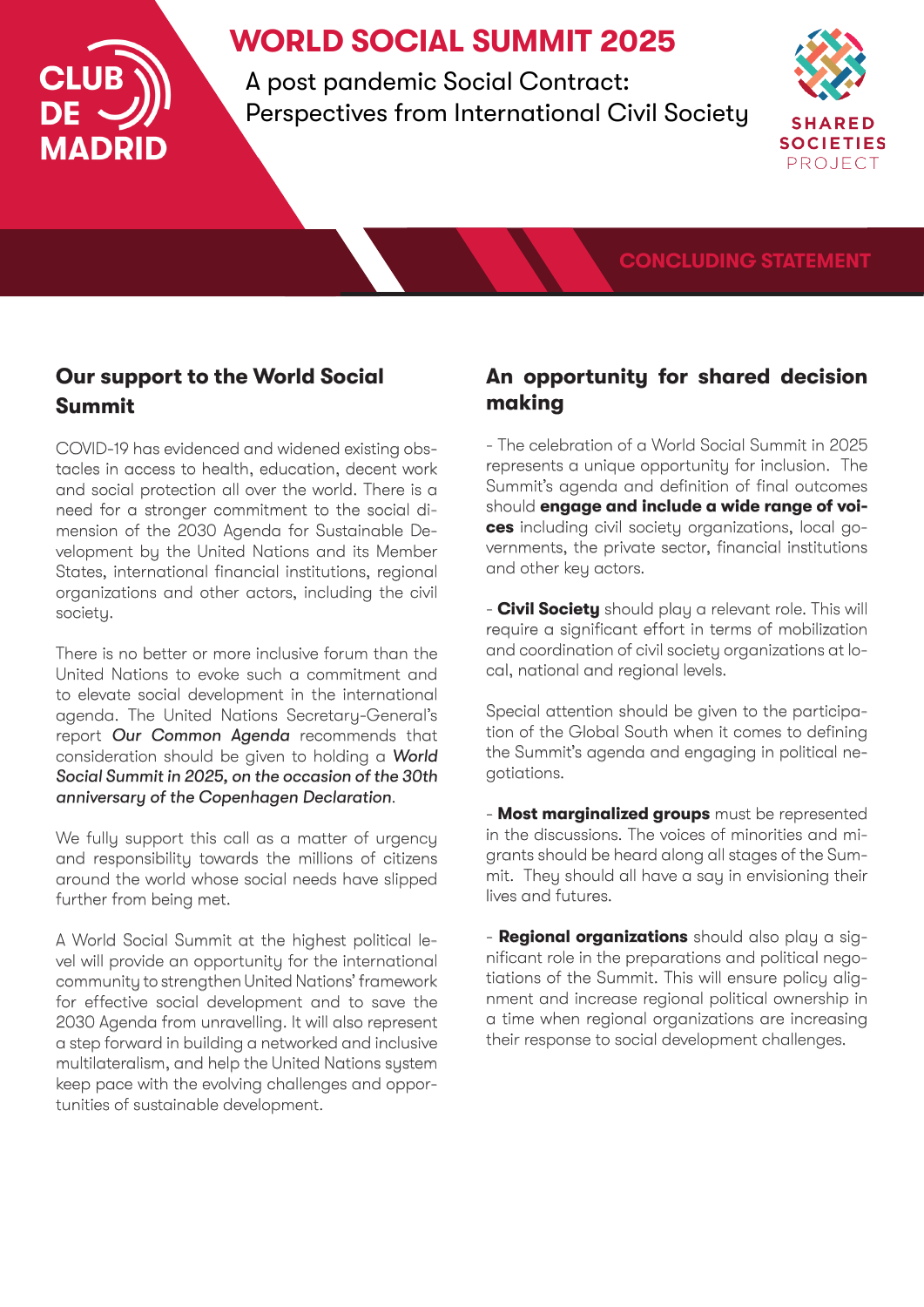

# **WORLD SOCIAL SUMMIT 2025**

A post pandemic Social Contract: Perspectives from International Civil Society



### **CONCLUDING STATEMENT**

## **Our support to the World Social Summit**

COVID-19 has evidenced and widened existing obstacles in access to health, education, decent work and social protection all over the world. There is a need for a stronger commitment to the social dimension of the 2030 Agenda for Sustainable Development by the United Nations and its Member States, international financial institutions, regional organizations and other actors, including the civil society.

There is no better or more inclusive forum than the United Nations to evoke such a commitment and to elevate social development in the international agenda. The United Nations Secretary-General's report *Our Common Agenda* recommends that consideration should be given to holding a *World Social Summit in 2025, on the occasion of the 30th anniversary of the Copenhagen Declaration*.

We fully support this call as a matter of urgency and responsibility towards the millions of citizens around the world whose social needs have slipped further from being met.

A World Social Summit at the highest political level will provide an opportunity for the international community to strengthen United Nations' framework for effective social development and to save the 2030 Agenda from unravelling. It will also represent a step forward in building a networked and inclusive multilateralism, and help the United Nations system keep pace with the evolving challenges and opportunities of sustainable development.

### **An opportunity for shared decision making**

- The celebration of a World Social Summit in 2025 represents a unique opportunity for inclusion. The Summit's agenda and definition of final outcomes should **engage and include a wide range of voices** including civil society organizations, local governments, the private sector, financial institutions and other key actors.

- **Civil Society** should play a relevant role. This will require a significant effort in terms of mobilization and coordination of civil society organizations at local, national and regional levels.

Special attention should be given to the participation of the Global South when it comes to defining the Summit's agenda and engaging in political negotiations.

- **Most marginalized groups** must be represented in the discussions. The voices of minorities and migrants should be heard along all stages of the Summit. They should all have a say in envisioning their lives and futures.

- **Regional organizations** should also play a significant role in the preparations and political negotiations of the Summit. This will ensure policy alignment and increase regional political ownership in a time when regional organizations are increasing their response to social development challenges.